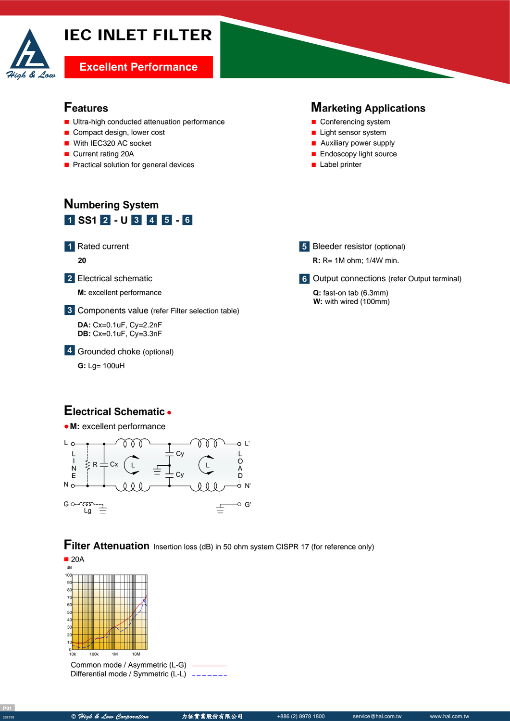# IEC INLET FILTER



# **Excellent Performance**

- **Ultra-high conducted attenuation performance**
- Compact design, lower cost
- With IEC320 AC socket
- Current rating 20A
- **Practical solution for general devices**

### **Features Marketing Applications**

- Conferencing system
- **Light sensor system**
- **Auxiliary power supply**
- **Endoscopy light source**
- **Label printer**

# **Numbering System** <mark>1 SS1 2 - U 3 4 5 - 6</mark>

**1** Rated current

**20**

**2** Electrical schematic

**M:** excellent performance

Components value (refer Filter selection table) **3**

**DA:** Cx=0.1uF, Cy=2.2nF **DB:** Cx=0.1uF, Cy=3.3nF

Grounded choke (optional) **4**

**G:** Lg= 100uH

# **Electrical Schematic**



**Filter Attenuation** Insertion loss (dB) in 50 ohm system CISPR 17 (for reference only)



Common mode / Asymmetric (L-G) Differential mode / Symmetric (L-L) -------

- **5** Bleeder resistor (optional)
	- **R:** R= 1M ohm; 1/4W min.

**6** Output connections (refer Output terminal)

**Q:** fast-on tab (6.3mm) **W:** with wired (100mm)

**P01**